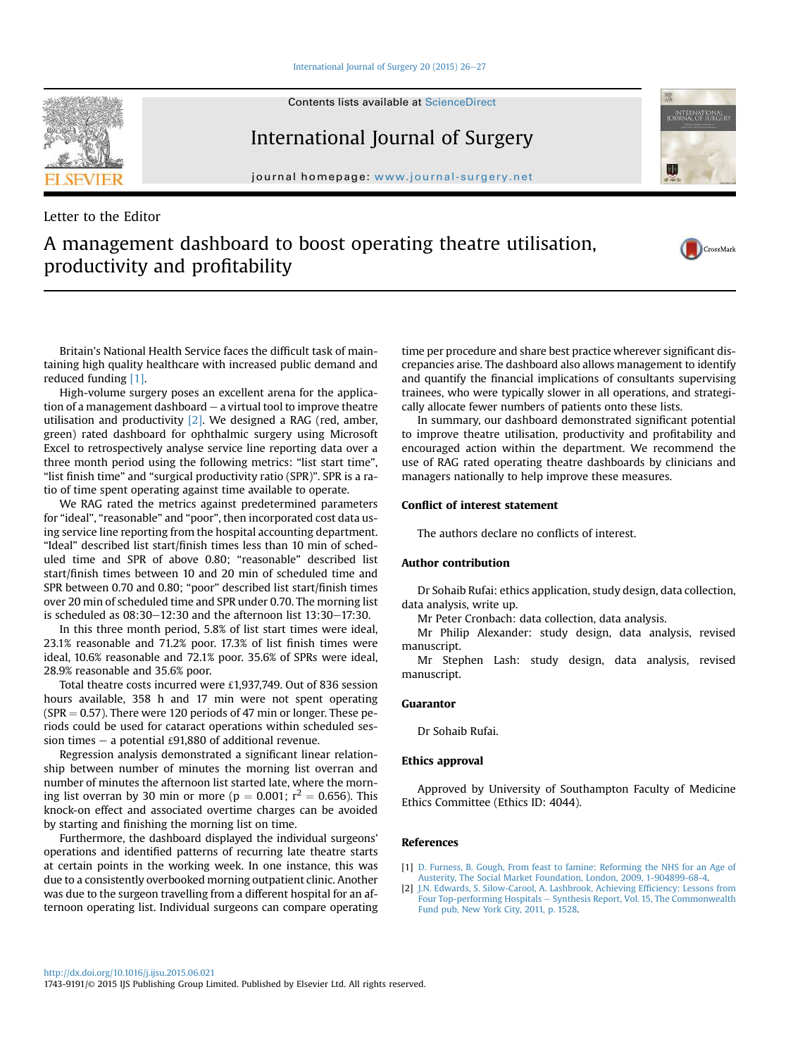Contents lists available at ScienceDirect

## International Journal of Surgery

journal homepage: [www.journal-surgery.net](http://www.journal-surgery.net)

### Letter to the Editor

# A management dashboard to boost operating theatre utilisation, productivity and profitability



In summary, our dashboard demonstrated significant potential to improve theatre utilisation, productivity and profitability and encouraged action within the department. We recommend the use of RAG rated operating theatre dashboards by clinicians and managers nationally to help improve these measures.

#### Conflict of interest statement

The authors declare no conflicts of interest.

#### Author contribution

Dr Sohaib Rufai: ethics application, study design, data collection, data analysis, write up.

Mr Peter Cronbach: data collection, data analysis.

Mr Philip Alexander: study design, data analysis, revised manuscript.

Mr Stephen Lash: study design, data analysis, revised manuscript.

#### Guarantor

Dr Sohaib Rufai.

#### Ethics approval

Approved by University of Southampton Faculty of Medicine Ethics Committee (Ethics ID: 4044).

#### References

- [1] [D. Furness, B. Gough, From feast to famine: Reforming the NHS for an Age of](http://refhub.elsevier.com/S1743-9191(15)00290-3/sref1) [Austerity, The Social Market Foundation, London, 2009, 1-904899-68-4](http://refhub.elsevier.com/S1743-9191(15)00290-3/sref1).
- [2] [J.N. Edwards, S. Silow-Carool, A. Lashbrook, Achieving Ef](http://refhub.elsevier.com/S1743-9191(15)00290-3/sref2)ficiency: Lessons from [Four Top-performing Hospitals](http://refhub.elsevier.com/S1743-9191(15)00290-3/sref2) - [Synthesis Report, Vol. 15, The Commonwealth](http://refhub.elsevier.com/S1743-9191(15)00290-3/sref2) [Fund pub, New York City, 2011, p. 1528.](http://refhub.elsevier.com/S1743-9191(15)00290-3/sref2)

## taining high quality healthcare with increased public demand and reduced funding [1]. High-volume surgery poses an excellent arena for the applica-

Britain's National Health Service faces the difficult task of main-

tion of a management dashboard  $-$  a virtual tool to improve theatre utilisation and productivity [2]. We designed a RAG (red, amber, green) rated dashboard for ophthalmic surgery using Microsoft Excel to retrospectively analyse service line reporting data over a three month period using the following metrics: "list start time", "list finish time" and "surgical productivity ratio (SPR)". SPR is a ratio of time spent operating against time available to operate.

We RAG rated the metrics against predetermined parameters for "ideal", "reasonable" and "poor", then incorporated cost data using service line reporting from the hospital accounting department. "Ideal" described list start/finish times less than 10 min of scheduled time and SPR of above 0.80; "reasonable" described list start/finish times between 10 and 20 min of scheduled time and SPR between 0.70 and 0.80; "poor" described list start/finish times over 20 min of scheduled time and SPR under 0.70. The morning list is scheduled as  $08:30-12:30$  and the afternoon list  $13:30-17:30$ .

In this three month period, 5.8% of list start times were ideal, 23.1% reasonable and 71.2% poor. 17.3% of list finish times were ideal, 10.6% reasonable and 72.1% poor. 35.6% of SPRs were ideal, 28.9% reasonable and 35.6% poor.

Total theatre costs incurred were £1,937,749. Out of 836 session hours available, 358 h and 17 min were not spent operating (SPR  $= 0.57$ ). There were 120 periods of 47 min or longer. These periods could be used for cataract operations within scheduled session times  $-$  a potential £91,880 of additional revenue.

Regression analysis demonstrated a significant linear relationship between number of minutes the morning list overran and number of minutes the afternoon list started late, where the morning list overran by 30 min or more ( $p = 0.001$ ;  $r^2 = 0.656$ ). This knock-on effect and associated overtime charges can be avoided by starting and finishing the morning list on time.

Furthermore, the dashboard displayed the individual surgeons' operations and identified patterns of recurring late theatre starts at certain points in the working week. In one instance, this was due to a consistently overbooked morning outpatient clinic. Another was due to the surgeon travelling from a different hospital for an afternoon operating list. Individual surgeons can compare operating